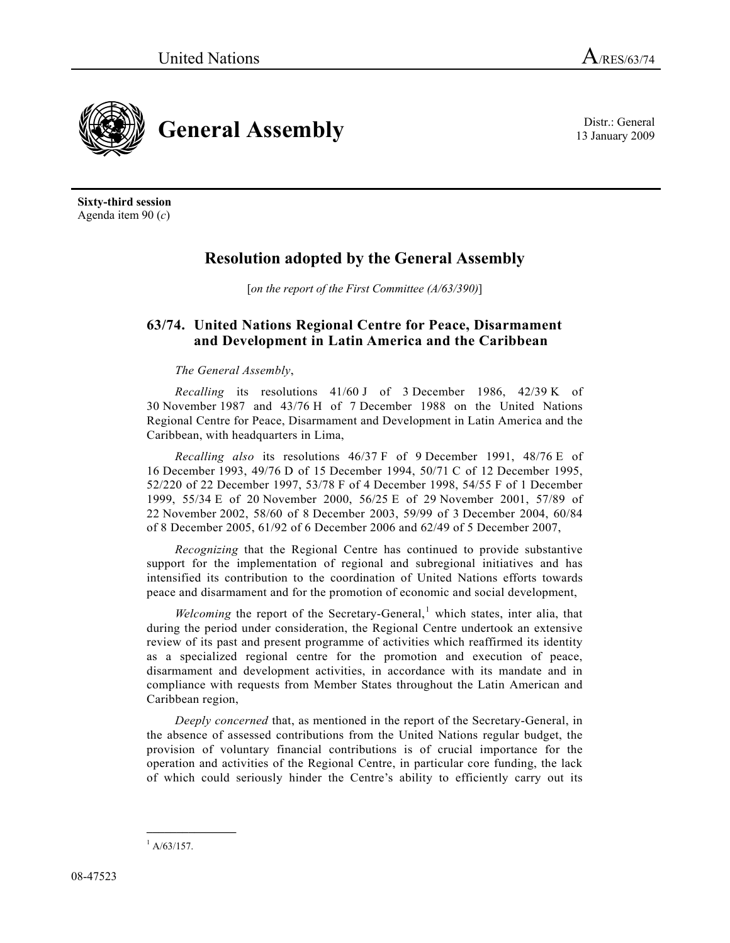13 January 2009



**Sixty-third session**  Agenda item 90 (*c*)

## **Resolution adopted by the General Assembly**

[*on the report of the First Committee (A/63/390)*]

## **63/74. United Nations Regional Centre for Peace, Disarmament and Development in Latin America and the Caribbean**

## *The General Assembly*,

*Recalling* its resolutions 41/60 J of 3 December 1986, 42/39 K of 30 November 1987 and 43/76 H of 7 December 1988 on the United Nations Regional Centre for Peace, Disarmament and Development in Latin America and the Caribbean, with headquarters in Lima,

*Recalling also* its resolutions 46/37 F of 9 December 1991, 48/76 E of 16 December 1993, 49/76 D of 15 December 1994, 50/71 C of 12 December 1995, 52/220 of 22 December 1997, 53/78 F of 4 December 1998, 54/55 F of 1 December 1999, 55/34 E of 20 November 2000, 56/25 E of 29 November 2001, 57/89 of 22 November 2002, 58/60 of 8 December 2003, 59/99 of 3 December 2004, 60/84 of 8 December 2005, 61/92 of 6 December 2006 and 62/49 of 5 December 2007,

*Recognizing* that the Regional Centre has continued to provide substantive support for the implementation of regional and subregional initiatives and has intensified its contribution to the coordination of United Nations efforts towards peace and disarmament and for the promotion of economic and social development,

Welcoming the report of the Secretary-General,<sup>[1](#page-0-0)</sup> which states, inter alia, that during the period under consideration, the Regional Centre undertook an extensive review of its past and present programme of activities which reaffirmed its identity as a specialized regional centre for the promotion and execution of peace, disarmament and development activities, in accordance with its mandate and in compliance with requests from Member States throughout the Latin American and Caribbean region,

*Deeply concerned* that, as mentioned in the report of the Secretary-General, in the absence of assessed contributions from the United Nations regular budget, the provision of voluntary financial contributions is of crucial importance for the operation and activities of the Regional Centre, in particular core funding, the lack of which could seriously hinder the Centre's ability to efficiently carry out its

<span id="page-0-0"></span> $^{1}$  A/63/157.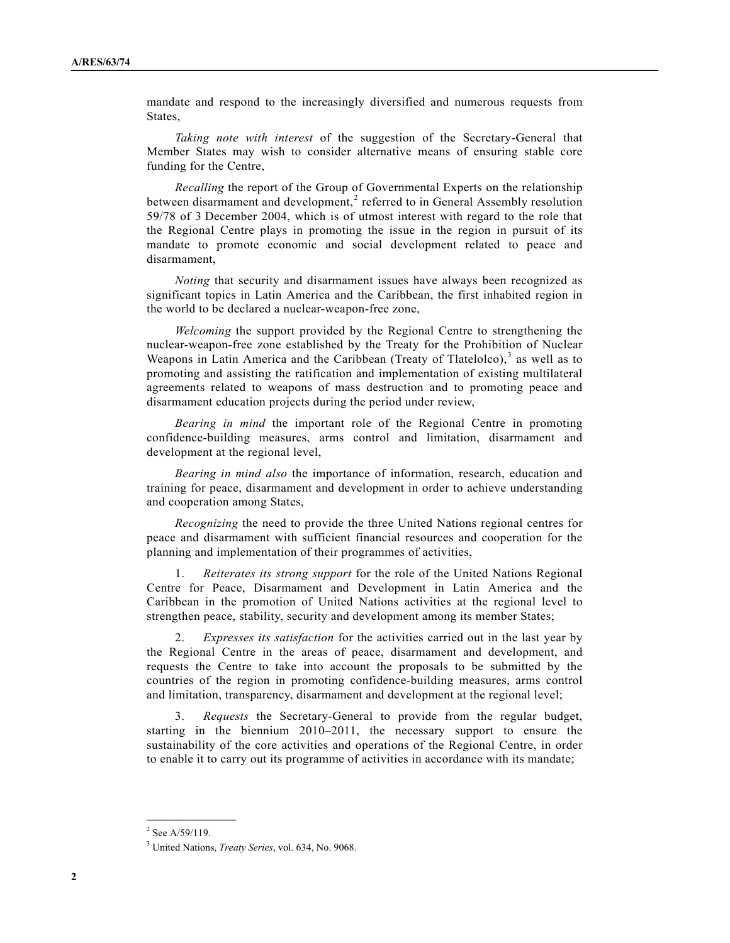mandate and respond to the increasingly diversified and numerous requests from States,

*Taking note with interest* of the suggestion of the Secretary-General that Member States may wish to consider alternative means of ensuring stable core funding for the Centre,

*Recalling* the report of the Group of Governmental Experts on the relationship between disarmament and development,<sup>[2](#page-1-0)</sup> referred to in General Assembly resolution 59/78 of 3 December 2004, which is of utmost interest with regard to the role that the Regional Centre plays in promoting the issue in the region in pursuit of its mandate to promote economic and social development related to peace and disarmament,

*Noting* that security and disarmament issues have always been recognized as significant topics in Latin America and the Caribbean, the first inhabited region in the world to be declared a nuclear-weapon-free zone,

*Welcoming* the support provided by the Regional Centre to strengthening the nuclear-weapon-free zone established by the Treaty for the Prohibition of Nuclear Weapons in Latin America and the Caribbean (Treaty of Tlatelolco), $3$  as well as to promoting and assisting the ratification and implementation of existing multilateral agreements related to weapons of mass destruction and to promoting peace and disarmament education projects during the period under review,

*Bearing in mind* the important role of the Regional Centre in promoting confidence-building measures, arms control and limitation, disarmament and development at the regional level,

*Bearing in mind also* the importance of information, research, education and training for peace, disarmament and development in order to achieve understanding and cooperation among States,

*Recognizing* the need to provide the three United Nations regional centres for peace and disarmament with sufficient financial resources and cooperation for the planning and implementation of their programmes of activities,

 1. *Reiterates its strong support* for the role of the United Nations Regional Centre for Peace, Disarmament and Development in Latin America and the Caribbean in the promotion of United Nations activities at the regional level to strengthen peace, stability, security and development among its member States;

 2. *Expresses its satisfaction* for the activities carried out in the last year by the Regional Centre in the areas of peace, disarmament and development, and requests the Centre to take into account the proposals to be submitted by the countries of the region in promoting confidence-building measures, arms control and limitation, transparency, disarmament and development at the regional level;

 3. *Requests* the Secretary-General to provide from the regular budget, starting in the biennium 2010–2011, the necessary support to ensure the sustainability of the core activities and operations of the Regional Centre, in order to enable it to carry out its programme of activities in accordance with its mandate;

**\_\_\_\_\_\_\_\_\_\_\_\_\_\_\_** 

 $2$  See A/59/119.

<span id="page-1-1"></span><span id="page-1-0"></span><sup>3</sup> United Nations, *Treaty Series*, vol. 634, No. 9068.